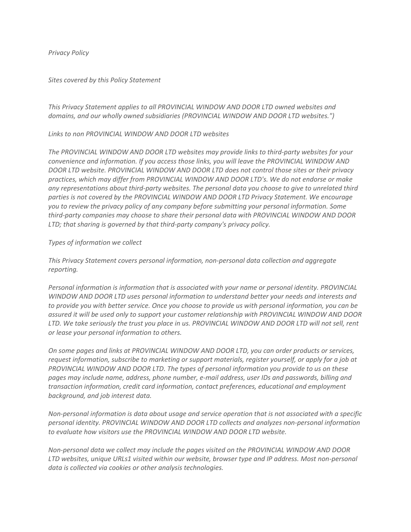*Privacy Policy*

## *Sites covered by this Policy Statement*

*This Privacy Statement applies to all PROVINCIAL WINDOW AND DOOR LTD owned websites and domains, and our wholly owned subsidiaries (PROVINCIAL WINDOW AND DOOR LTD websites.")*

*Links to non PROVINCIAL WINDOW AND DOOR LTD websites* 

*The PROVINCIAL WINDOW AND DOOR LTD websites may provide links to third-party websites for your convenience and information. If you access those links, you will leave the PROVINCIAL WINDOW AND DOOR LTD website. PROVINCIAL WINDOW AND DOOR LTD does not control those sites or their privacy practices, which may differ from PROVINCIAL WINDOW AND DOOR LTD's. We do not endorse or make any representations about third-party websites. The personal data you choose to give to unrelated third parties is not covered by the PROVINCIAL WINDOW AND DOOR LTD Privacy Statement. We encourage you to review the privacy policy of any company before submitting your personal information. Some third-party companies may choose to share their personal data with PROVINCIAL WINDOW AND DOOR LTD; that sharing is governed by that third-party company's privacy policy.*

## *Types of information we collect*

*This Privacy Statement covers personal information, non-personal data collection and aggregate reporting.*

*Personal information is information that is associated with your name or personal identity. PROVINCIAL WINDOW AND DOOR LTD uses personal information to understand better your needs and interests and to provide you with better service. Once you choose to provide us with personal information, you can be assured it will be used only to support your customer relationship with PROVINCIAL WINDOW AND DOOR LTD. We take seriously the trust you place in us. PROVINCIAL WINDOW AND DOOR LTD will not sell, rent or lease your personal information to others.* 

*On some pages and links at PROVINCIAL WINDOW AND DOOR LTD, you can order products or services, request information, subscribe to marketing or support materials, register yourself, or apply for a job at PROVINCIAL WINDOW AND DOOR LTD. The types of personal information you provide to us on these pages may include name, address, phone number, e-mail address, user IDs and passwords, billing and transaction information, credit card information, contact preferences, educational and employment background, and job interest data.*

*Non-personal information is data about usage and service operation that is not associated with a specific personal identity. PROVINCIAL WINDOW AND DOOR LTD collects and analyzes non-personal information to evaluate how visitors use the PROVINCIAL WINDOW AND DOOR LTD website.*

*Non-personal data we collect may include the pages visited on the PROVINCIAL WINDOW AND DOOR LTD websites, unique URLs1 visited within our website, browser type and IP address. Most non-personal data is collected via cookies or other analysis technologies.*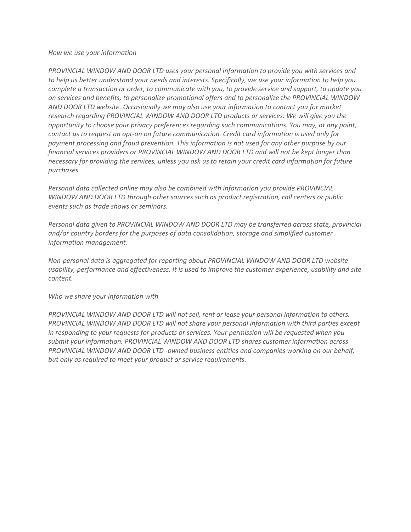## *How we use your information*

*PROVINCIAL WINDOW AND DOOR LTD uses your personal information to provide you with services and to help us better understand your needs and interests. Specifically, we use your information to help you complete a transaction or order, to communicate with you, to provide service and support, to update you on services and benefits, to personalize promotional offers and to personalize the PROVINCIAL WINDOW AND DOOR LTD website. Occasionally we may also use your information to contact you for market research regarding PROVINCIAL WINDOW AND DOOR LTD products or services. We will give you the opportunity to choose your privacy preferences regarding such communications. You may, at any point, contact us to request an opt-on on future communication. Credit card information is used only for payment processing and fraud prevention. This information is not used for any other purpose by our financial services providers or PROVINCIAL WINDOW AND DOOR LTD and will not be kept longer than necessary for providing the services, unless you ask us to retain your credit card information for future purchases.* 

*Personal data collected online may also be combined with information you provide PROVINCIAL WINDOW AND DOOR LTD through other sources such as product registration, call centers or public events such as trade shows or seminars.* 

*Personal data given to PROVINCIAL WINDOW AND DOOR LTD may be transferred across state, provincial and/or country borders for the purposes of data consolidation, storage and simplified customer information management.* 

*Non-personal data is aggregated for reporting about PROVINCIAL WINDOW AND DOOR LTD website usability, performance and effectiveness. It is used to improve the customer experience, usability and site content.* 

*Who we share your information with* 

*PROVINCIAL WINDOW AND DOOR LTD will not sell, rent or lease your personal information to others. PROVINCIAL WINDOW AND DOOR LTD will not share your personal information with third parties except in responding to your requests for products or services. Your permission will be requested when you submit your information. PROVINCIAL WINDOW AND DOOR LTD shares customer information across PROVINCIAL WINDOW AND DOOR LTD -owned business entities and companies working on our behalf, but only as required to meet your product or service requirements.*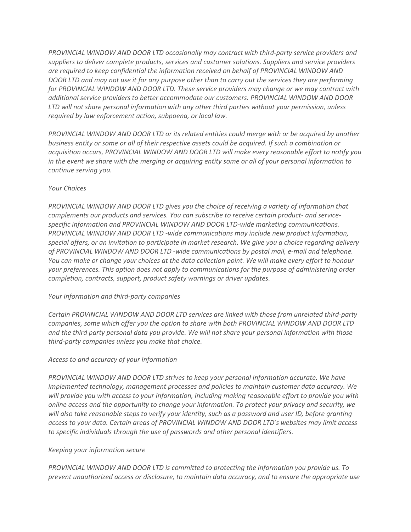*PROVINCIAL WINDOW AND DOOR LTD occasionally may contract with third-party service providers and suppliers to deliver complete products, services and customer solutions. Suppliers and service providers are required to keep confidential the information received on behalf of PROVINCIAL WINDOW AND DOOR LTD and may not use it for any purpose other than to carry out the services they are performing for PROVINCIAL WINDOW AND DOOR LTD. These service providers may change or we may contract with additional service providers to better accommodate our customers. PROVINCIAL WINDOW AND DOOR LTD will not share personal information with any other third parties without your permission, unless required by law enforcement action, subpoena, or local law.* 

*PROVINCIAL WINDOW AND DOOR LTD or its related entities could merge with or be acquired by another business entity or some or all of their respective assets could be acquired. If such a combination or acquisition occurs, PROVINCIAL WINDOW AND DOOR LTD will make every reasonable effort to notify you in the event we share with the merging or acquiring entity some or all of your personal information to continue serving you.* 

## *Your Choices*

*PROVINCIAL WINDOW AND DOOR LTD gives you the choice of receiving a variety of information that complements our products and services. You can subscribe to receive certain product- and servicespecific information and PROVINCIAL WINDOW AND DOOR LTD-wide marketing communications. PROVINCIAL WINDOW AND DOOR LTD -wide communications may include new product information, special offers, or an invitation to participate in market research. We give you a choice regarding delivery of PROVINCIAL WINDOW AND DOOR LTD -wide communications by postal mail, e-mail and telephone. You can make or change your choices at the data collection point. We will make every effort to honour your preferences. This option does not apply to communications for the purpose of administering order completion, contracts, support, product safety warnings or driver updates.* 

# *Your information and third-party companies*

*Certain PROVINCIAL WINDOW AND DOOR LTD services are linked with those from unrelated third-party companies, some which offer you the option to share with both PROVINCIAL WINDOW AND DOOR LTD and the third party personal data you provide. We will not share your personal information with those third-party companies unless you make that choice.* 

# *Access to and accuracy of your information*

*PROVINCIAL WINDOW AND DOOR LTD strives to keep your personal information accurate. We have implemented technology, management processes and policies to maintain customer data accuracy. We will provide you with access to your information, including making reasonable effort to provide you with online access and the opportunity to change your information. To protect your privacy and security, we will also take reasonable steps to verify your identity, such as a password and user ID, before granting access to your data. Certain areas of PROVINCIAL WINDOW AND DOOR LTD's websites may limit access to specific individuals through the use of passwords and other personal identifiers.* 

## *Keeping your information secure*

*PROVINCIAL WINDOW AND DOOR LTD is committed to protecting the information you provide us. To prevent unauthorized access or disclosure, to maintain data accuracy, and to ensure the appropriate use*